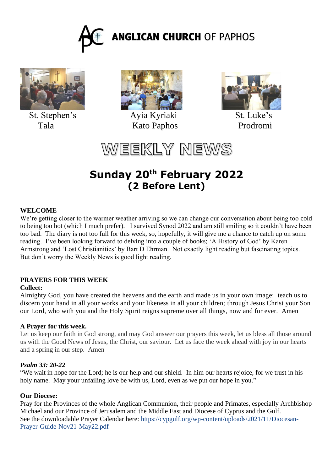



St. Stephen's Ayia Kyriaki St. Luke's



Tala Kato Paphos Prodromi



WEEKLY NEWS

# **Sunday 20th February 2022 (2 Before Lent)**

## **WELCOME**

We're getting closer to the warmer weather arriving so we can change our conversation about being too cold to being too hot (which I much prefer). I survived Synod 2022 and am still smiling so it couldn't have been too bad. The diary is not too full for this week, so, hopefully, it will give me a chance to catch up on some reading. I've been looking forward to delving into a couple of books; 'A History of God' by Karen Armstrong and 'Lost Christianities' by Bart D Ehrman. Not exactly light reading but fascinating topics. But don't worry the Weekly News is good light reading.

## **PRAYERS FOR THIS WEEK**

## **Collect:**

Almighty God, you have created the heavens and the earth and made us in your own image: teach us to discern your hand in all your works and your likeness in all your children; through Jesus Christ your Son our Lord, who with you and the Holy Spirit reigns supreme over all things, now and for ever. Amen

## **A Prayer for this week.**

Let us keep our faith in God strong, and may God answer our prayers this week, let us bless all those around us with the Good News of Jesus, the Christ, our saviour. Let us face the week ahead with joy in our hearts and a spring in our step. Amen

## *Psalm 33: 20-22*

"We wait in hope for the Lord; he is our help and our shield. In him our hearts rejoice, for we trust in his holy name. May your unfailing love be with us, Lord, even as we put our hope in you."

## **Our Diocese:**

Pray for the Provinces of the whole Anglican Communion, their people and Primates, especially Archbishop Michael and our Province of Jerusalem and the Middle East and Diocese of Cyprus and the Gulf. See the downloadable Prayer Calendar here: https://cypgulf.org/wp-content/uploads/2021/11/Diocesan-Prayer-Guide-Nov21-May22.pdf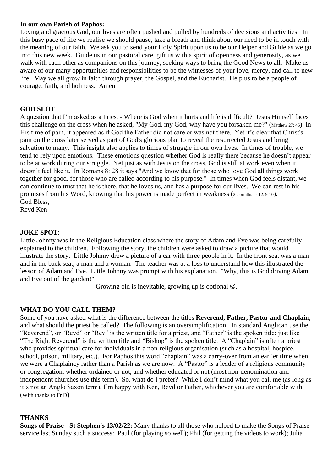#### **In our own Parish of Paphos:**

Loving and gracious God, our lives are often pushed and pulled by hundreds of decisions and activities. In this busy pace of life we realise we should pause, take a breath and think about our need to be in touch with the meaning of our faith. We ask you to send your Holy Spirit upon us to be our Helper and Guide as we go into this new week. Guide us in our pastoral care, gift us with a spirit of openness and generosity, as we walk with each other as companions on this journey, seeking ways to bring the Good News to all. Make us aware of our many opportunities and responsibilities to be the witnesses of your love, mercy, and call to new life. May we all grow in faith through prayer, the Gospel, and the Eucharist. Help us to be a people of courage, faith, and holiness. Amen

#### **GOD SLOT**

A question that I'm asked as a Priest - Where is God when it hurts and life is difficult? Jesus Himself faces this challenge on the cross when he asked, "My God, my God, why have you forsaken me?" (Matthew 27: 46) In His time of pain, it appeared as if God the Father did not care or was not there. Yet it's clear that Christ's pain on the cross later served as part of God's glorious plan to reveal the resurrected Jesus and bring salvation to many. This insight also applies to times of struggle in our own lives. In times of trouble, we tend to rely upon emotions. These emotions question whether God is really there because he doesn't appear to be at work during our struggle. Yet just as with Jesus on the cross, God is still at work even when it doesn't feel like it. In Romans 8: 28 it says "And we know that for those who love God all things work together for good, for those who are called according to his purpose." In times when God feels distant, we can continue to trust that he is there, that he loves us, and has a purpose for our lives. We can rest in his promises from his Word, knowing that his power is made perfect in weakness (2 Corinthians 12: 9-10). God Bless,

Revd Ken

#### **JOKE SPOT**:

Little Johnny was in the Religious Education class where the story of Adam and Eve was being carefully explained to the children. Following the story, the children were asked to draw a picture that would illustrate the story. Little Johnny drew a picture of a car with three people in it. In the front seat was a man and in the back seat, a man and a woman. The teacher was at a loss to understand how this illustrated the lesson of Adam and Eve. Little Johnny was prompt with his explanation. "Why, this is God driving Adam and Eve out of the garden!"

Growing old is inevitable, growing up is optional  $\odot$ .

## **WHAT DO YOU CALL THEM?**

Some of you have asked what is the difference between the titles **Reverend, Father, Pastor and Chaplain**, and what should the priest be called? The following is an oversimplification: In standard Anglican use the "Reverend", or "Revd" or "Rev" is the written title for a priest, and "Father" is the spoken title; just like "The Right Reverend" is the written title and "Bishop" is the spoken title. A "Chaplain" is often a priest who provides spiritual care for individuals in a non-religious organisation (such as a hospital, hospice, school, prison, military, etc.). For Paphos this word "chaplain" was a carry-over from an earlier time when we were a Chaplaincy rather than a Parish as we are now. A "Pastor" is a leader of a religious community or congregation, whether ordained or not, and whether educated or not (most non-denomination and independent churches use this term). So, what do I prefer? While I don't mind what you call me (as long as it's not an Anglo Saxon term), I'm happy with Ken, Revd or Father, whichever you are comfortable with. (With thanks to Fr D)

#### **THANKS**

**Songs of Praise - St Stephen's 13/02/22:** Many thanks to all those who helped to make the Songs of Praise service last Sunday such a success: Paul (for playing so well); Phil (for getting the videos to work); Julia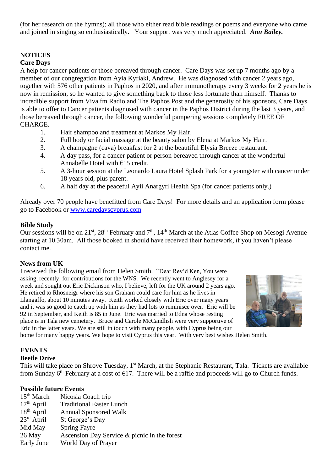(for her research on the hymns); all those who either read bible readings or poems and everyone who came and joined in singing so enthusiastically. Your support was very much appreciated. *Ann Bailey.*

## **NOTICES**

## **Care Days**

A help for cancer patients or those bereaved through cancer. Care Days was set up 7 months ago by a member of our congregation from Ayia Kyriaki, Andrew. He was diagnosed with cancer 2 years ago, together with 576 other patients in Paphos in 2020, and after immunotherapy every 3 weeks for 2 years he is now in remission, so he wanted to give something back to those less fortunate than himself. Thanks to incredible support from Viva fm Radio and The Paphos Post and the generosity of his sponsors, Care Days is able to offer to Cancer patients diagnosed with cancer in the Paphos District during the last 3 years, and those bereaved through cancer, the following wonderful pampering sessions completely FREE OF CHARGE.

- 1. Hair shampoo and treatment at Markos My Hair.
- 2. Full body or facial massage at the beauty salon by Elena at Markos My Hair.<br>3. A champagne (cava) breakfast for 2 at the beautiful Elysia Breeze restaurant.
- 3. A champagne (cava) breakfast for 2 at the beautiful Elysia Breeze restaurant.
- 4. A day pass, for a cancer patient or person bereaved through cancer at the wonderful Annabelle Hotel with €15 credit.
- 5. A 3-hour session at the Leonardo Laura Hotel Splash Park for a youngster with cancer under 18 years old, plus parent.
- 6. A half day at the peaceful Ayii Anargyri Health Spa (for cancer patients only.)

Already over 70 people have benefitted from Care Days! For more details and an application form please go to Facebook or [www.caredayscyprus.com](http://www.caredayscyprus.com/)

## **Bible Study**

Our sessions will be on 21<sup>st</sup>, 28<sup>th</sup> February and 7<sup>th</sup>, 14<sup>th</sup> March at the Atlas Coffee Shop on Mesogi Avenue starting at 10.30am. All those booked in should have received their homework, if you haven't please contact me.

## **News from UK**

I received the following email from Helen Smith. "Dear Rev'd Ken, You were asking, recently, for contributions for the WNS. We recently went to Anglesey for a week and sought out Eric Dickinson who, I believe, left for the UK around 2 years ago. He retired to Rhosneigr where his son Graham could care for him as he lives in Llangaffo, about 10 minutes away. Keith worked closely with Eric over many years and it was so good to catch up with him as they had lots to reminisce over. Eric will be 92 in September, and Keith is 85 in June. Eric was married to Edna whose resting place is in Tala new cemetery. Bruce and Carole McCandlish were very supportive of Eric in the latter years. We are still in touch with many people, with Cyprus being our



home for many happy years. We hope to visit Cyprus this year. With very best wishes Helen Smith.

## **EVENTS**

#### **Beetle Drive**

This will take place on Shrove Tuesday, 1<sup>st</sup> March, at the Stephanie Restaurant, Tala. Tickets are available from Sunday 6<sup>th</sup> February at a cost of  $\epsilon$ 17. There will be a raffle and proceeds will go to Church funds.

#### **Possible future Events**

| 15 <sup>th</sup> March | Nicosia Coach trip                           |
|------------------------|----------------------------------------------|
| $17th$ April           | <b>Traditional Easter Lunch</b>              |
| $18th$ April           | <b>Annual Sponsored Walk</b>                 |
| $23^{\text{rd}}$ April | St George's Day                              |
| Mid May                | <b>Spring Fayre</b>                          |
| 26 May                 | Ascension Day Service & picnic in the forest |
| Early June             | World Day of Prayer                          |